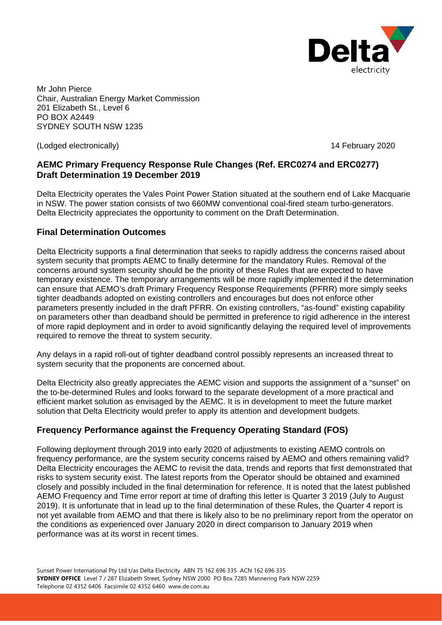

Mr John Pierce Chair, Australian Energy Market Commission 201 Elizabeth St., Level 6 PO BOX A2449 SYDNEY SOUTH NSW 1235

(Lodged electronically) 14 February 2020

# **AEMC Primary Frequency Response Rule Changes (Ref. ERC0274 and ERC0277) Draft Determination 19 December 2019**

Delta Electricity operates the Vales Point Power Station situated at the southern end of Lake Macquarie in NSW. The power station consists of two 660MW conventional coal-fired steam turbo-generators. Delta Electricity appreciates the opportunity to comment on the Draft Determination.

# **Final Determination Outcomes**

Delta Electricity supports a final determination that seeks to rapidly address the concerns raised about system security that prompts AEMC to finally determine for the mandatory Rules. Removal of the concerns around system security should be the priority of these Rules that are expected to have temporary existence. The temporary arrangements will be more rapidly implemented if the determination can ensure that AEMO's draft Primary Frequency Response Requirements (PFRR) more simply seeks tighter deadbands adopted on existing controllers and encourages but does not enforce other parameters presently included in the draft PFRR. On existing controllers, "as-found" existing capability on parameters other than deadband should be permitted in preference to rigid adherence in the interest of more rapid deployment and in order to avoid significantly delaying the required level of improvements required to remove the threat to system security.

Any delays in a rapid roll-out of tighter deadband control possibly represents an increased threat to system security that the proponents are concerned about.

Delta Electricity also greatly appreciates the AEMC vision and supports the assignment of a "sunset" on the to-be-determined Rules and looks forward to the separate development of a more practical and efficient market solution as envisaged by the AEMC. It is in development to meet the future market solution that Delta Electricity would prefer to apply its attention and development budgets.

# **Frequency Performance against the Frequency Operating Standard (FOS)**

Following deployment through 2019 into early 2020 of adjustments to existing AEMO controls on frequency performance, are the system security concerns raised by AEMO and others remaining valid? Delta Electricity encourages the AEMC to revisit the data, trends and reports that first demonstrated that risks to system security exist. The latest reports from the Operator should be obtained and examined closely and possibly included in the final determination for reference. It is noted that the latest published AEMO Frequency and Time error report at time of drafting this letter is Quarter 3 2019 (July to August 2019). It is unfortunate that in lead up to the final determination of these Rules, the Quarter 4 report is not yet available from AEMO and that there is likely also to be no preliminary report from the operator on the conditions as experienced over January 2020 in direct comparison to January 2019 when performance was at its worst in recent times.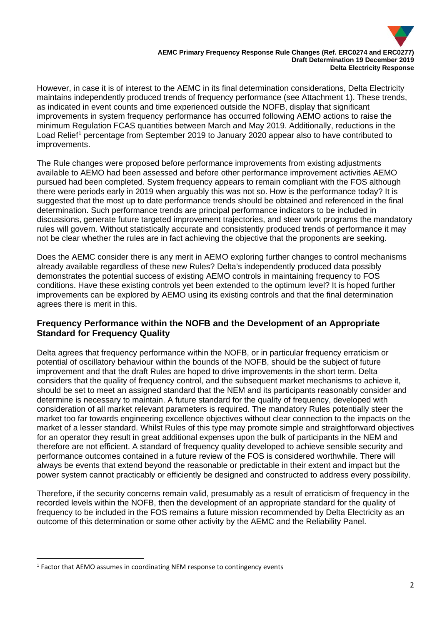

However, in case it is of interest to the AEMC in its final determination considerations, Delta Electricity maintains independently produced trends of frequency performance (see Attachment 1). These trends, as indicated in event counts and time experienced outside the NOFB, display that significant improvements in system frequency performance has occurred following AEMO actions to raise the minimum Regulation FCAS quantities between March and May 2019. Additionally, reductions in the Load Relief<sup>[1](#page-1-0)</sup> percentage from September 2019 to January 2020 appear also to have contributed to improvements.

The Rule changes were proposed before performance improvements from existing adjustments available to AEMO had been assessed and before other performance improvement activities AEMO pursued had been completed. System frequency appears to remain compliant with the FOS although there were periods early in 2019 when arguably this was not so. How is the performance today? It is suggested that the most up to date performance trends should be obtained and referenced in the final determination. Such performance trends are principal performance indicators to be included in discussions, generate future targeted improvement trajectories, and steer work programs the mandatory rules will govern. Without statistically accurate and consistently produced trends of performance it may not be clear whether the rules are in fact achieving the objective that the proponents are seeking.

Does the AEMC consider there is any merit in AEMO exploring further changes to control mechanisms already available regardless of these new Rules? Delta's independently produced data possibly demonstrates the potential success of existing AEMO controls in maintaining frequency to FOS conditions. Have these existing controls yet been extended to the optimum level? It is hoped further improvements can be explored by AEMO using its existing controls and that the final determination agrees there is merit in this.

## **Frequency Performance within the NOFB and the Development of an Appropriate Standard for Frequency Quality**

Delta agrees that frequency performance within the NOFB, or in particular frequency erraticism or potential of oscillatory behaviour within the bounds of the NOFB, should be the subject of future improvement and that the draft Rules are hoped to drive improvements in the short term. Delta considers that the quality of frequency control, and the subsequent market mechanisms to achieve it, should be set to meet an assigned standard that the NEM and its participants reasonably consider and determine is necessary to maintain. A future standard for the quality of frequency, developed with consideration of all market relevant parameters is required. The mandatory Rules potentially steer the market too far towards engineering excellence objectives without clear connection to the impacts on the market of a lesser standard. Whilst Rules of this type may promote simple and straightforward objectives for an operator they result in great additional expenses upon the bulk of participants in the NEM and therefore are not efficient. A standard of frequency quality developed to achieve sensible security and performance outcomes contained in a future review of the FOS is considered worthwhile. There will always be events that extend beyond the reasonable or predictable in their extent and impact but the power system cannot practicably or efficiently be designed and constructed to address every possibility.

Therefore, if the security concerns remain valid, presumably as a result of erraticism of frequency in the recorded levels within the NOFB, then the development of an appropriate standard for the quality of frequency to be included in the FOS remains a future mission recommended by Delta Electricity as an outcome of this determination or some other activity by the AEMC and the Reliability Panel.

<span id="page-1-0"></span><sup>1</sup> Factor that AEMO assumes in coordinating NEM response to contingency events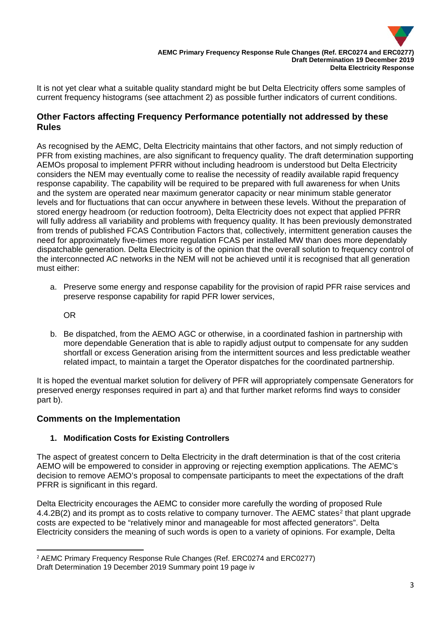

It is not yet clear what a suitable quality standard might be but Delta Electricity offers some samples of current frequency histograms (see attachment 2) as possible further indicators of current conditions.

# **Other Factors affecting Frequency Performance potentially not addressed by these Rules**

As recognised by the AEMC, Delta Electricity maintains that other factors, and not simply reduction of PFR from existing machines, are also significant to frequency quality. The draft determination supporting AEMOs proposal to implement PFRR without including headroom is understood but Delta Electricity considers the NEM may eventually come to realise the necessity of readily available rapid frequency response capability. The capability will be required to be prepared with full awareness for when Units and the system are operated near maximum generator capacity or near minimum stable generator levels and for fluctuations that can occur anywhere in between these levels. Without the preparation of stored energy headroom (or reduction footroom), Delta Electricity does not expect that applied PFRR will fully address all variability and problems with frequency quality. It has been previously demonstrated from trends of published FCAS Contribution Factors that, collectively, intermittent generation causes the need for approximately five-times more regulation FCAS per installed MW than does more dependably dispatchable generation. Delta Electricity is of the opinion that the overall solution to frequency control of the interconnected AC networks in the NEM will not be achieved until it is recognised that all generation must either:

a. Preserve some energy and response capability for the provision of rapid PFR raise services and preserve response capability for rapid PFR lower services,

OR

b. Be dispatched, from the AEMO AGC or otherwise, in a coordinated fashion in partnership with more dependable Generation that is able to rapidly adjust output to compensate for any sudden shortfall or excess Generation arising from the intermittent sources and less predictable weather related impact, to maintain a target the Operator dispatches for the coordinated partnership.

It is hoped the eventual market solution for delivery of PFR will appropriately compensate Generators for preserved energy responses required in part a) and that further market reforms find ways to consider part b).

## **Comments on the Implementation**

## **1. Modification Costs for Existing Controllers**

The aspect of greatest concern to Delta Electricity in the draft determination is that of the cost criteria AEMO will be empowered to consider in approving or rejecting exemption applications. The AEMC's decision to remove AEMO's proposal to compensate participants to meet the expectations of the draft PFRR is significant in this regard.

Delta Electricity encourages the AEMC to consider more carefully the wording of proposed Rule 4.4.[2](#page-2-0)B(2) and its prompt as to costs relative to company turnover. The AEMC states<sup>2</sup> that plant upgrade costs are expected to be "relatively minor and manageable for most affected generators". Delta Electricity considers the meaning of such words is open to a variety of opinions. For example, Delta

<span id="page-2-0"></span><sup>2</sup> AEMC Primary Frequency Response Rule Changes (Ref. ERC0274 and ERC0277) Draft Determination 19 December 2019 Summary point 19 page iv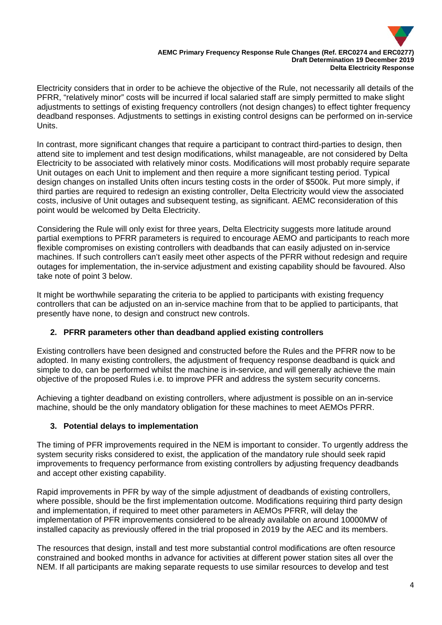

#### **AEMC Primary Frequency Response Rule Changes (Ref. ERC0274 and ERC0277) Draft Determination 19 December 2019 Delta Electricity Response**

Electricity considers that in order to be achieve the objective of the Rule, not necessarily all details of the PFRR, "relatively minor" costs will be incurred if local salaried staff are simply permitted to make slight adjustments to settings of existing frequency controllers (not design changes) to effect tighter frequency deadband responses. Adjustments to settings in existing control designs can be performed on in-service Units.

In contrast, more significant changes that require a participant to contract third-parties to design, then attend site to implement and test design modifications, whilst manageable, are not considered by Delta Electricity to be associated with relatively minor costs. Modifications will most probably require separate Unit outages on each Unit to implement and then require a more significant testing period. Typical design changes on installed Units often incurs testing costs in the order of \$500k. Put more simply, if third parties are required to redesign an existing controller, Delta Electricity would view the associated costs, inclusive of Unit outages and subsequent testing, as significant. AEMC reconsideration of this point would be welcomed by Delta Electricity.

Considering the Rule will only exist for three years, Delta Electricity suggests more latitude around partial exemptions to PFRR parameters is required to encourage AEMO and participants to reach more flexible compromises on existing controllers with deadbands that can easily adjusted on in-service machines. If such controllers can't easily meet other aspects of the PFRR without redesign and require outages for implementation, the in-service adjustment and existing capability should be favoured. Also take note of point 3 below.

It might be worthwhile separating the criteria to be applied to participants with existing frequency controllers that can be adjusted on an in-service machine from that to be applied to participants, that presently have none, to design and construct new controls.

## **2. PFRR parameters other than deadband applied existing controllers**

Existing controllers have been designed and constructed before the Rules and the PFRR now to be adopted. In many existing controllers, the adjustment of frequency response deadband is quick and simple to do, can be performed whilst the machine is in-service, and will generally achieve the main objective of the proposed Rules i.e. to improve PFR and address the system security concerns.

Achieving a tighter deadband on existing controllers, where adjustment is possible on an in-service machine, should be the only mandatory obligation for these machines to meet AEMOs PFRR.

### **3. Potential delays to implementation**

The timing of PFR improvements required in the NEM is important to consider. To urgently address the system security risks considered to exist, the application of the mandatory rule should seek rapid improvements to frequency performance from existing controllers by adjusting frequency deadbands and accept other existing capability.

Rapid improvements in PFR by way of the simple adjustment of deadbands of existing controllers, where possible, should be the first implementation outcome. Modifications requiring third party design and implementation, if required to meet other parameters in AEMOs PFRR, will delay the implementation of PFR improvements considered to be already available on around 10000MW of installed capacity as previously offered in the trial proposed in 2019 by the AEC and its members.

The resources that design, install and test more substantial control modifications are often resource constrained and booked months in advance for activities at different power station sites all over the NEM. If all participants are making separate requests to use similar resources to develop and test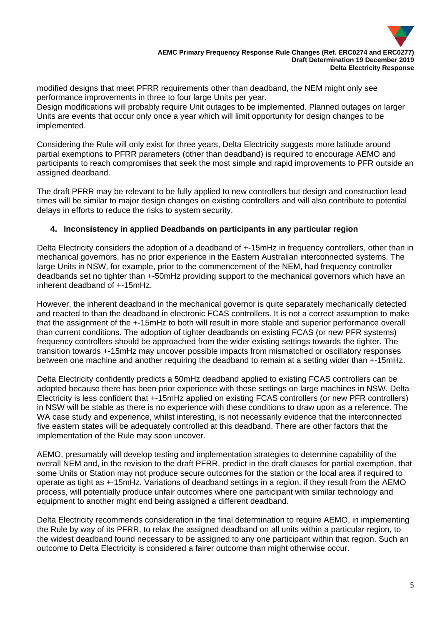

modified designs that meet PFRR requirements other than deadband, the NEM might only see performance improvements in three to four large Units per year.

Design modifications will probably require Unit outages to be implemented. Planned outages on larger Units are events that occur only once a year which will limit opportunity for design changes to be implemented.

Considering the Rule will only exist for three years, Delta Electricity suggests more latitude around partial exemptions to PFRR parameters (other than deadband) is required to encourage AEMO and participants to reach compromises that seek the most simple and rapid improvements to PFR outside an assigned deadband.

The draft PFRR may be relevant to be fully applied to new controllers but design and construction lead times will be similar to major design changes on existing controllers and will also contribute to potential delays in efforts to reduce the risks to system security.

### **4. Inconsistency in applied Deadbands on participants in any particular region**

Delta Electricity considers the adoption of a deadband of +-15mHz in frequency controllers, other than in mechanical governors, has no prior experience in the Eastern Australian interconnected systems. The large Units in NSW, for example, prior to the commencement of the NEM, had frequency controller deadbands set no tighter than +-50mHz providing support to the mechanical governors which have an inherent deadband of +-15mHz.

However, the inherent deadband in the mechanical governor is quite separately mechanically detected and reacted to than the deadband in electronic FCAS controllers. It is not a correct assumption to make that the assignment of the +-15mHz to both will result in more stable and superior performance overall than current conditions. The adoption of tighter deadbands on existing FCAS (or new PFR systems) frequency controllers should be approached from the wider existing settings towards the tighter. The transition towards +-15mHz may uncover possible impacts from mismatched or oscillatory responses between one machine and another requiring the deadband to remain at a setting wider than +-15mHz.

Delta Electricity confidently predicts a 50mHz deadband applied to existing FCAS controllers can be adopted because there has been prior experience with these settings on large machines in NSW. Delta Electricity is less confident that +-15mHz applied on existing FCAS controllers (or new PFR controllers) in NSW will be stable as there is no experience with these conditions to draw upon as a reference. The WA case study and experience, whilst interesting, is not necessarily evidence that the interconnected five eastern states will be adequately controlled at this deadband. There are other factors that the implementation of the Rule may soon uncover.

AEMO, presumably will develop testing and implementation strategies to determine capability of the overall NEM and, in the revision to the draft PFRR, predict in the draft clauses for partial exemption, that some Units or Station may not produce secure outcomes for the station or the local area if required to operate as tight as +-15mHz. Variations of deadband settings in a region, if they result from the AEMO process, will potentially produce unfair outcomes where one participant with similar technology and equipment to another might end being assigned a different deadband.

Delta Electricity recommends consideration in the final determination to require AEMO, in implementing the Rule by way of its PFRR, to relax the assigned deadband on all units within a particular region, to the widest deadband found necessary to be assigned to any one participant within that region. Such an outcome to Delta Electricity is considered a fairer outcome than might otherwise occur.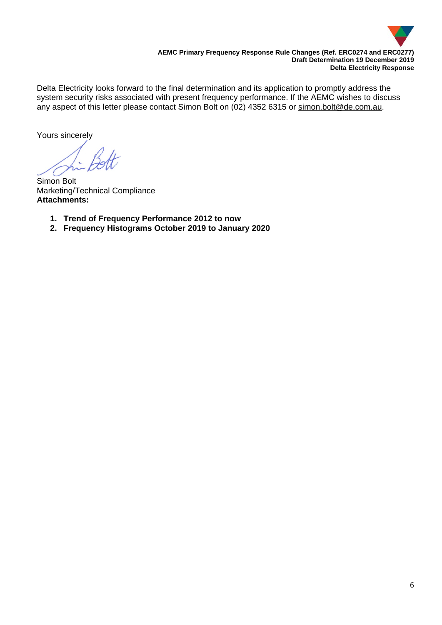

Delta Electricity looks forward to the final determination and its application to promptly address the system security risks associated with present frequency performance. If the AEMC wishes to discuss any aspect of this letter please contact Simon Bolt on (02) 4352 6315 or [simon.bolt@de.com.au.](mailto:simon.bolt@de.com.au)

Yours sincerely

Simon Bolt Marketing/Technical Compliance **Attachments:**

- **1. Trend of Frequency Performance 2012 to now**
- **2. Frequency Histograms October 2019 to January 2020**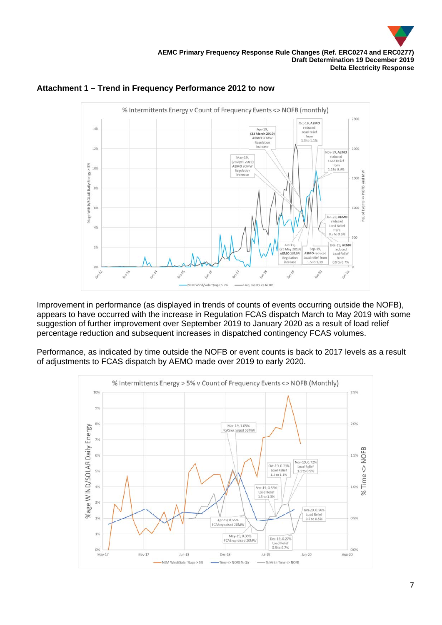





Improvement in performance (as displayed in trends of counts of events occurring outside the NOFB), appears to have occurred with the increase in Regulation FCAS dispatch March to May 2019 with some suggestion of further improvement over September 2019 to January 2020 as a result of load relief percentage reduction and subsequent increases in dispatched contingency FCAS volumes.

Performance, as indicated by time outside the NOFB or event counts is back to 2017 levels as a result of adjustments to FCAS dispatch by AEMO made over 2019 to early 2020.

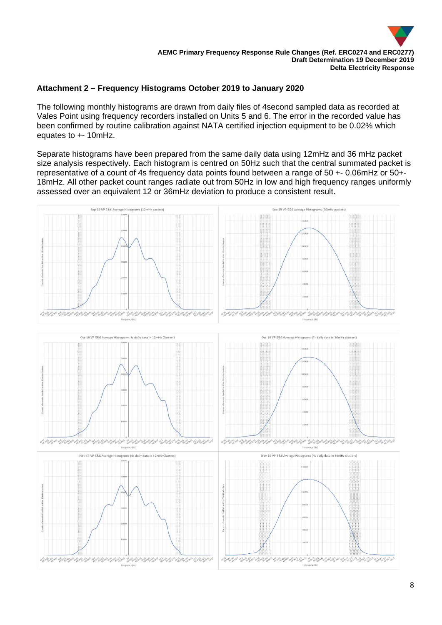

### **Attachment 2 – Frequency Histograms October 2019 to January 2020**

The following monthly histograms are drawn from daily files of 4second sampled data as recorded at Vales Point using frequency recorders installed on Units 5 and 6. The error in the recorded value has been confirmed by routine calibration against NATA certified injection equipment to be 0.02% which equates to +- 10mHz.

Separate histograms have been prepared from the same daily data using 12mHz and 36 mHz packet size analysis respectively. Each histogram is centred on 50Hz such that the central summated packet is representative of a count of 4s frequency data points found between a range of 50 +- 0.06mHz or 50+- 18mHz. All other packet count ranges radiate out from 50Hz in low and high frequency ranges uniformly assessed over an equivalent 12 or 36mHz deviation to produce a consistent result.

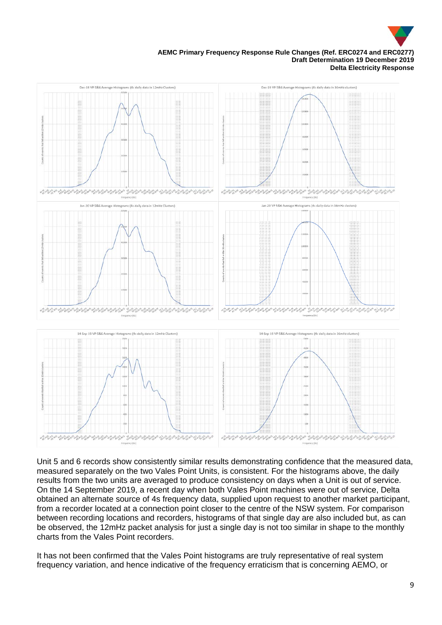

#### **AEMC Primary Frequency Response Rule Changes (Ref. ERC0274 and ERC0277) Draft Determination 19 December 2019 Delta Electricity Response**



Unit 5 and 6 records show consistently similar results demonstrating confidence that the measured data, measured separately on the two Vales Point Units, is consistent. For the histograms above, the daily results from the two units are averaged to produce consistency on days when a Unit is out of service. On the 14 September 2019, a recent day when both Vales Point machines were out of service, Delta obtained an alternate source of 4s frequency data, supplied upon request to another market participant, from a recorder located at a connection point closer to the centre of the NSW system. For comparison between recording locations and recorders, histograms of that single day are also included but, as can be observed, the 12mHz packet analysis for just a single day is not too similar in shape to the monthly charts from the Vales Point recorders.

It has not been confirmed that the Vales Point histograms are truly representative of real system frequency variation, and hence indicative of the frequency erraticism that is concerning AEMO, or